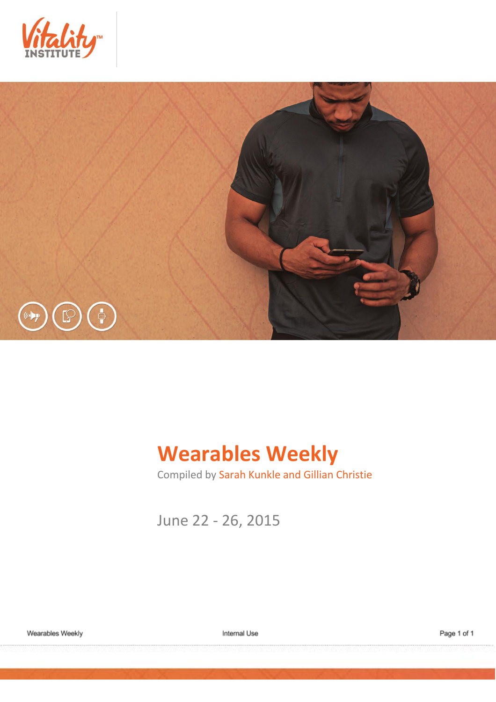



# **Wearables Weekly**

Compiled by Sarah Kunkle and Gillian Christie

June 22 - 26, 2015

Wearables Weekly

Internal Use

Page 1 of 1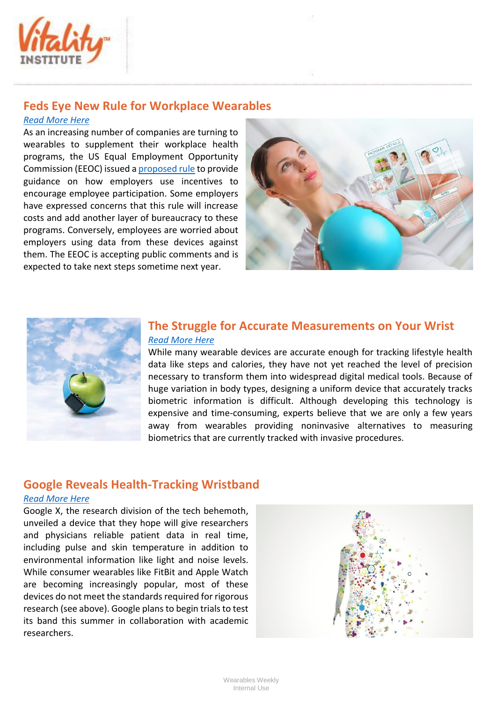

# **Feds Eye New Rule for Workplace Wearables**

### *[Read More Here](http://www.cio.com/article/2937731/wearable-technology/the-takeaway-feds-eye-new-rule-for-workplace-wearables.html)*

As an increasing number of companies are turning to wearables to supplement their workplace health programs, the US Equal Employment Opportunity Commission (EEOC) issued [a proposed rule](http://www.regulations.gov/#!documentDetail;D=EEOC-2015-0006-0001) to provide guidance on how employers use incentives to encourage employee participation. Some employers have expressed concerns that this rule will increase costs and add another layer of bureaucracy to these programs. Conversely, employees are worried about employers using data from these devices against them. The EEOC is accepting public comments and is expected to take next steps sometime next year.





## **The Struggle for Accurate Measurements on Your Wrist** *[Read More Here](http://www.technologyreview.com/review/538416/the-struggle-for-accurate-measurements-on-your-wrist/?utm_campaign=newsletters&utm_source=newsletter-weekly-mobile&utm_medium=email&utm_content=20150622)*

While many wearable devices are accurate enough for tracking lifestyle health data like steps and calories, they have not yet reached the level of precision necessary to transform them into widespread digital medical tools. Because of huge variation in body types, designing a uniform device that accurately tracks biometric information is difficult. Although developing this technology is expensive and time-consuming, experts believe that we are only a few years away from wearables providing noninvasive alternatives to measuring biometrics that are currently tracked with invasive procedures.

# **Google Reveals Health-Tracking Wristband**

#### *[Read More Here](http://www.bloomberg.com/news/articles/2015-06-23/google-developing-health-tracking-wristband-for-health-research)*

Google X, the research division of the tech behemoth, unveiled a device that they hope will give researchers and physicians reliable patient data in real time, including pulse and skin temperature in addition to environmental information like light and noise levels. While consumer wearables like FitBit and Apple Watch are becoming increasingly popular, most of these devices do not meet the standards required for rigorous research (see above). Google plans to begin trials to test its band this summer in collaboration with academic researchers.